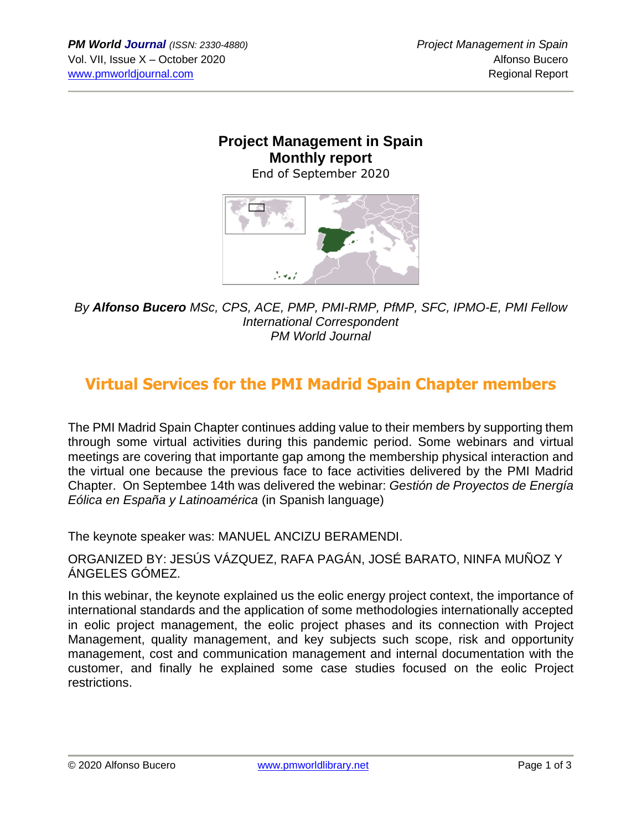#### **Project Management in Spain Monthly report** End of September 2020



*By Alfonso Bucero MSc, CPS, ACE, PMP, PMI-RMP, PfMP, SFC, IPMO-E, PMI Fellow International Correspondent PM World Journal*

# **Virtual Services for the PMI Madrid Spain Chapter members**

The PMI Madrid Spain Chapter continues adding value to their members by supporting them through some virtual activities during this pandemic period. Some webinars and virtual meetings are covering that importante gap among the membership physical interaction and the virtual one because the previous face to face activities delivered by the PMI Madrid Chapter. On Septembee 14th was delivered the webinar: *Gestión de Proyectos de Energía Eólica en España y Latinoamérica* (in Spanish language)

The keynote speaker was: MANUEL ANCIZU BERAMENDI.

ORGANIZED BY: JESÚS VÁZQUEZ, RAFA PAGÁN, JOSÉ BARATO, NINFA MUÑOZ Y ÁNGELES GÓMEZ.

In this webinar, the keynote explained us the eolic energy project context, the importance of international standards and the application of some methodologies internationally accepted in eolic project management, the eolic project phases and its connection with Project Management, quality management, and key subjects such scope, risk and opportunity management, cost and communication management and internal documentation with the customer, and finally he explained some case studies focused on the eolic Project restrictions.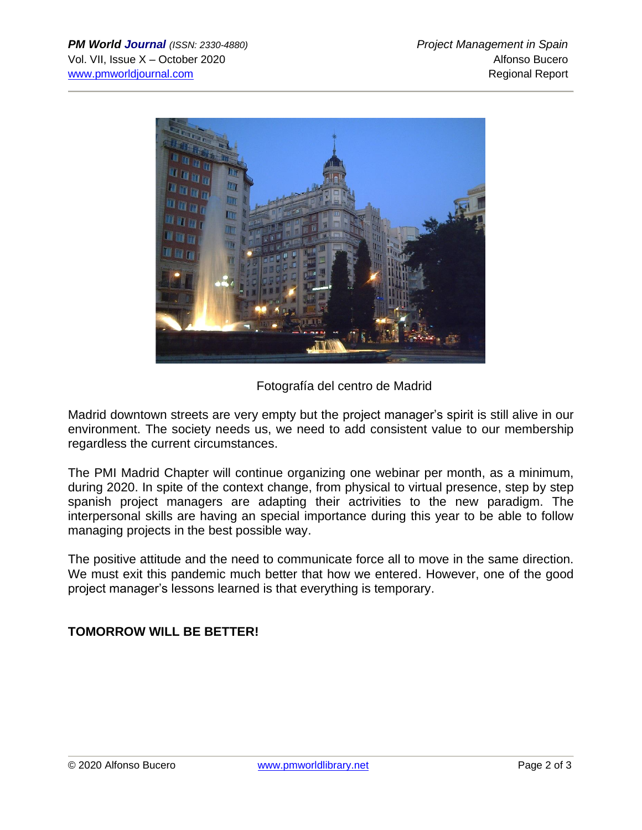

Fotografía del centro de Madrid

Madrid downtown streets are very empty but the project manager's spirit is still alive in our environment. The society needs us, we need to add consistent value to our membership regardless the current circumstances.

The PMI Madrid Chapter will continue organizing one webinar per month, as a minimum, during 2020. In spite of the context change, from physical to virtual presence, step by step spanish project managers are adapting their actrivities to the new paradigm. The interpersonal skills are having an special importance during this year to be able to follow managing projects in the best possible way.

The positive attitude and the need to communicate force all to move in the same direction. We must exit this pandemic much better that how we entered. However, one of the good project manager's lessons learned is that everything is temporary.

### **TOMORROW WILL BE BETTER!**